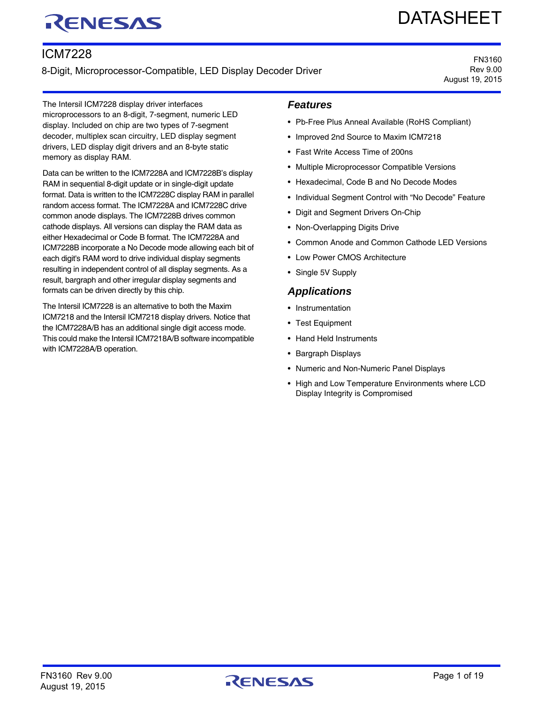# RENESAS

# DATASHEET

# ICM7228

8-Digit, Microprocessor-Compatible, LED Display Decoder Driver

FN3160 Rev 9.00 August 19, 2015

The Intersil ICM7228 display driver interfaces microprocessors to an 8-digit, 7-segment, numeric LED display. Included on chip are two types of 7-segment decoder, multiplex scan circuitry, LED display segment drivers, LED display digit drivers and an 8-byte static memory as display RAM.

Data can be written to the ICM7228A and ICM7228B's display RAM in sequential 8-digit update or in single-digit update format. Data is written to the ICM7228C display RAM in parallel random access format. The ICM7228A and ICM7228C drive common anode displays. The ICM7228B drives common cathode displays. All versions can display the RAM data as either Hexadecimal or Code B format. The ICM7228A and ICM7228B incorporate a No Decode mode allowing each bit of each digit's RAM word to drive individual display segments resulting in independent control of all display segments. As a result, bargraph and other irregular display segments and formats can be driven directly by this chip.

The Intersil ICM7228 is an alternative to both the Maxim ICM7218 and the Intersil ICM7218 display drivers. Notice that the ICM7228A/B has an additional single digit access mode. This could make the Intersil ICM7218A/B software incompatible with ICM7228A/B operation.

### *Features*

- Pb-Free Plus Anneal Available (RoHS Compliant)
- Improved 2nd Source to Maxim ICM7218
- Fast Write Access Time of 200ns
- Multiple Microprocessor Compatible Versions
- Hexadecimal, Code B and No Decode Modes
- Individual Segment Control with "No Decode" Feature
- Digit and Segment Drivers On-Chip
- Non-Overlapping Digits Drive
- Common Anode and Common Cathode LED Versions
- Low Power CMOS Architecture
- Single 5V Supply

#### *Applications*

- Instrumentation
- Test Equipment
- Hand Held Instruments
- Bargraph Displays
- Numeric and Non-Numeric Panel Displays
- High and Low Temperature Environments where LCD Display Integrity is Compromised

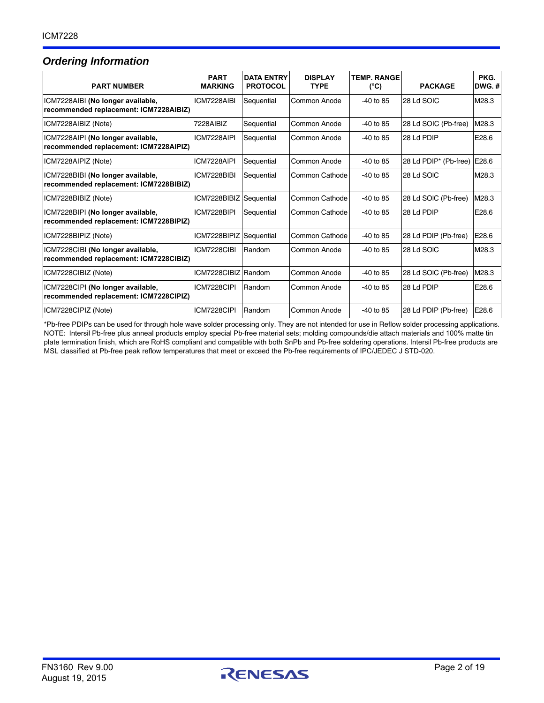# <span id="page-1-0"></span>*Ordering Information*

| <b>PART NUMBER</b>                                                          | <b>PART</b><br><b>MARKING</b> | <b>DATA ENTRY</b><br><b>PROTOCOL</b> | <b>DISPLAY</b><br><b>TYPE</b> | <b>TEMP. RANGE</b><br>(°C) | <b>PACKAGE</b>        | PKG.<br>$DWG.$ # |
|-----------------------------------------------------------------------------|-------------------------------|--------------------------------------|-------------------------------|----------------------------|-----------------------|------------------|
| ICM7228AIBI (No longer available,<br>recommended replacement: ICM7228AIBIZ) | ICM7228AIBI                   | Sequential                           | Common Anode                  | $-40$ to 85                | 28 Ld SOIC            | M28.3            |
| ICM7228AIBIZ (Note)                                                         | 7228AIBIZ                     | Sequential                           | Common Anode                  | $-40$ to 85                | 28 Ld SOIC (Pb-free)  | M28.3            |
| ICM7228AIPI (No longer available,<br>recommended replacement: ICM7228AIPIZ) | ICM7228AIPI                   | Sequential                           | Common Anode                  | $-40$ to 85                | 28 Ld PDIP            | E28.6            |
| ICM7228AIPIZ (Note)                                                         | ICM7228AIPI                   | Sequential                           | Common Anode                  | $-40$ to 85                | 28 Ld PDIP* (Pb-free) | E28.6            |
| ICM7228BIBI (No longer available,<br>recommended replacement: ICM7228BIBIZ) | ICM7228BIBI                   | Sequential                           | Common Cathode                | $-40$ to 85                | 28 Ld SOIC            | M28.3            |
| ICM7228BIBIZ (Note)                                                         | ICM7228BIBIZ                  | Sequential                           | Common Cathode                | $-40$ to 85                | 28 Ld SOIC (Pb-free)  | M28.3            |
| ICM7228BIPI (No longer available,<br>recommended replacement: ICM7228BIPIZ) | ICM7228BIPI                   | Sequential                           | Common Cathode                | $-40$ to 85                | 28 Ld PDIP            | E28.6            |
| ICM7228BIPIZ (Note)                                                         | ICM7228BIPIZ                  | Sequential                           | Common Cathode                | $-40$ to 85                | 28 Ld PDIP (Pb-free)  | E28.6            |
| ICM7228CIBI (No longer available,<br>recommended replacement: ICM7228CIBIZ) | ICM7228CIBI                   | Random                               | Common Anode                  | $-40$ to 85                | 28 Ld SOIC            | M28.3            |
| ICM7228CIBIZ (Note)                                                         | ICM7228CIBIZ Random           |                                      | Common Anode                  | $-40$ to 85                | 28 Ld SOIC (Pb-free)  | M28.3            |
| ICM7228CIPI (No longer available,<br>recommended replacement: ICM7228CIPIZ) | ICM7228CIPI                   | Random                               | Common Anode                  | $-40$ to 85                | 28 Ld PDIP            | E28.6            |
| ICM7228CIPIZ (Note)                                                         | ICM7228CIPI                   | Random                               | Common Anode                  | $-40$ to 85                | 28 Ld PDIP (Pb-free)  | E28.6            |

\*Pb-free PDIPs can be used for through hole wave solder processing only. They are not intended for use in Reflow solder processing applications. NOTE: Intersil Pb-free plus anneal products employ special Pb-free material sets; molding compounds/die attach materials and 100% matte tin plate termination finish, which are RoHS compliant and compatible with both SnPb and Pb-free soldering operations. Intersil Pb-free products are MSL classified at Pb-free peak reflow temperatures that meet or exceed the Pb-free requirements of IPC/JEDEC J STD-020.

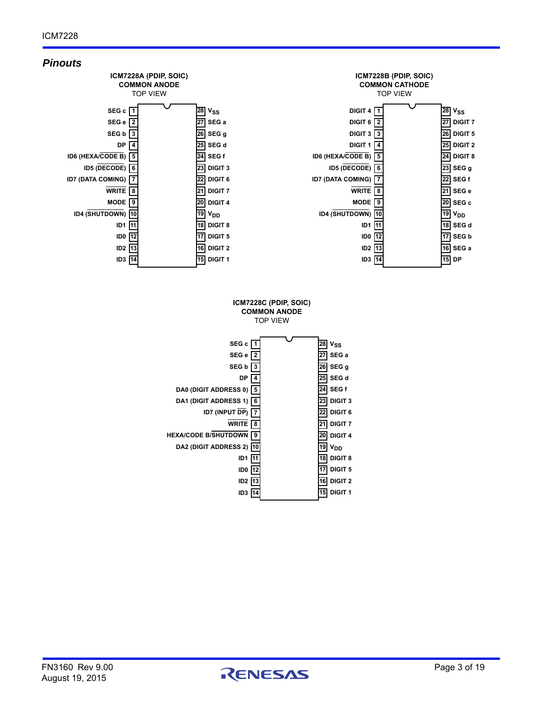

**DIGIT 1 15**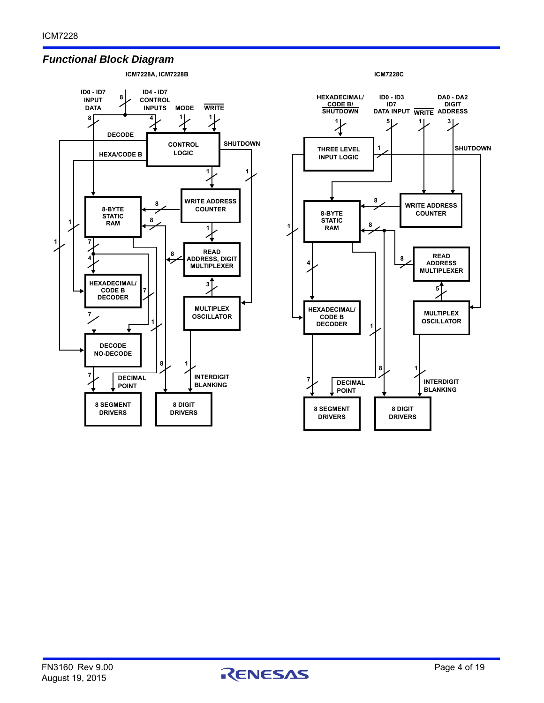### *Functional Block Diagram*





**ICM7228C**

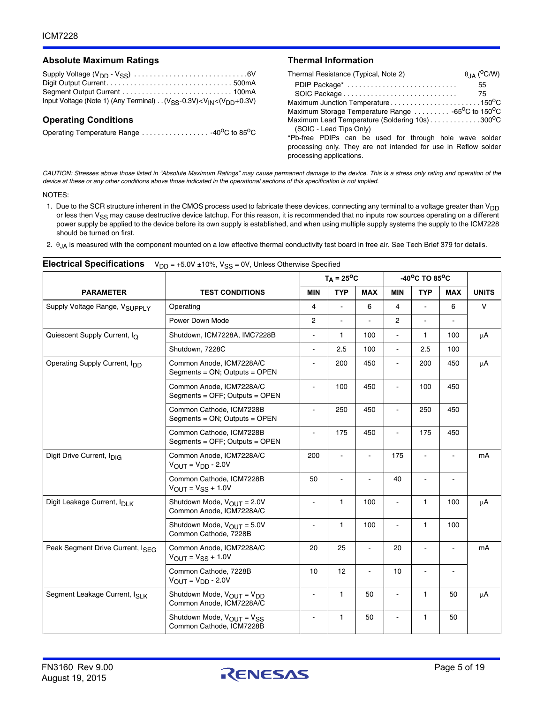#### Absolute Maximum Ratings **Thermal Information**

| Input Voltage (Note 1) (Any Terminal) $\ldots$ (V <sub>SS</sub> -0.3V) < V <sub>IN</sub> < (V <sub>DD</sub> +0.3V) |  |
|--------------------------------------------------------------------------------------------------------------------|--|

#### **Operating Conditions**

Operating Temperature Range . . . . . . . . . . . . . . . . . 40°C to 85°C

| Thermal Resistance (Typical, Note 2)                                        | $\theta$ JA ( $\rm ^{O}C/W$ ) |
|-----------------------------------------------------------------------------|-------------------------------|
|                                                                             | 55                            |
|                                                                             | 75                            |
| Maximum Junction Temperature150°C                                           |                               |
| Maximum Storage Temperature Range  -65 <sup>o</sup> C to 150 <sup>o</sup> C |                               |
| Maximum Lead Temperature (Soldering 10s)300°C                               |                               |
| (SOIC - Lead Tips Only)                                                     |                               |
| *Pb-free PDIPs can be used for through hole wave solder                     |                               |
| processing only. They are not intended for use in Reflow solder             |                               |
| processing applications.                                                    |                               |

*CAUTION: Stresses above those listed in "Absolute Maximum Ratings" may cause permanent damage to the device. This is a stress only rating and operation of the device at these or any other conditions above those indicated in the operational sections of this specification is not implied.*

#### NOTES:

- 1. Due to the SCR structure inherent in the CMOS process used to fabricate these devices, connecting any terminal to a voltage greater than V<sub>DD</sub> or less then V<sub>SS</sub> may cause destructive device latchup. For this reason, it is recommended that no inputs row sources operating on a different power supply be applied to the device before its own supply is established, and when using multiple supply systems the supply to the ICM7228 should be turned on first.
- 2.  $\theta_{JA}$  is measured with the component mounted on a low effective thermal conductivity test board in free air. See Tech Brief 379 for details.

|                                           |                                                                               |                          | $T_A = 25^{\circ}C$ |                |                | -40°C TO 85°C |                          |              |
|-------------------------------------------|-------------------------------------------------------------------------------|--------------------------|---------------------|----------------|----------------|---------------|--------------------------|--------------|
| <b>PARAMETER</b>                          | <b>TEST CONDITIONS</b>                                                        | <b>MIN</b>               | <b>TYP</b>          | <b>MAX</b>     | <b>MIN</b>     | <b>TYP</b>    | <b>MAX</b>               | <b>UNITS</b> |
| Supply Voltage Range, V <sub>SUPPLY</sub> | Operating                                                                     | 4                        | $\mathbf{r}$        | 6              | 4              |               | 6                        | $\vee$       |
|                                           | Power Down Mode                                                               | $\overline{2}$           |                     |                | $\overline{2}$ |               |                          |              |
| Quiescent Supply Current, I <sub>O</sub>  | Shutdown, ICM7228A, IMC7228B                                                  |                          | 1                   | 100            | ä,             | $\mathbf{1}$  | 100                      | $\mu$ A      |
|                                           | Shutdown, 7228C                                                               | ä,                       | 2.5                 | 100            | $\blacksquare$ | 2.5           | 100                      |              |
| Operating Supply Current, Ipp             | Common Anode, ICM7228A/C<br>Segments = ON; Outputs = OPEN                     | ä,                       | 200                 | 450            | $\blacksquare$ | 200           | 450                      | $\mu$ A      |
|                                           | Common Anode, ICM7228A/C<br>Segments = OFF; Outputs = OPEN                    | ÷,                       | 100                 | 450            | ä,             | 100           | 450                      |              |
|                                           | Common Cathode, ICM7228B<br>Segments = ON; Outputs = OPEN                     | $\overline{\phantom{0}}$ | 250                 | 450            | $\blacksquare$ | 250           | 450                      |              |
|                                           | Common Cathode, ICM7228B<br>Segments = $OFF$ ; Outputs = $OPEN$               | ä,                       | 175                 | 450            | $\blacksquare$ | 175           | 450                      |              |
| Digit Drive Current, I <sub>DIG</sub>     | Common Anode, ICM7228A/C<br>$V_{\text{OUT}} = V_{\text{DD}} - 2.0 V$          | 200                      |                     | $\overline{a}$ | 175            |               | $\blacksquare$           | mA           |
|                                           | Common Cathode, ICM7228B<br>$V_{\text{OUT}} = V_{SS} + 1.0V$                  | 50                       |                     |                | 40             |               |                          |              |
| Digit Leakage Current, I <sub>DI K</sub>  | Shutdown Mode, V <sub>OUT</sub> = 2.0V<br>Common Anode, ICM7228A/C            | $\overline{\phantom{a}}$ | 1                   | 100            | $\blacksquare$ | $\mathbf{1}$  | 100                      | μA           |
|                                           | Shutdown Mode, $V_{\text{OUT}} = 5.0V$<br>Common Cathode, 7228B               | $\sim$                   | 1                   | 100            | $\blacksquare$ | $\mathbf{1}$  | 100                      |              |
| Peak Segment Drive Current, ISEG          | Common Anode, ICM7228A/C<br>$V_{\text{OUT}} = V_{SS} + 1.0V$                  | 20                       | 25                  |                | 20             | L.            | ä,                       | mA           |
|                                           | Common Cathode, 7228B<br>$V_{\text{OUT}} = V_{\text{DD}} - 2.0V$              | 10                       | 12                  |                | 10             |               | $\overline{\phantom{a}}$ |              |
| Segment Leakage Current, ISLK             | Shutdown Mode, $V_{\text{OUT}} = V_{\text{DD}}$<br>Common Anode, ICM7228A/C   | $\blacksquare$           | 1                   | 50             | ä,             | $\mathbf{1}$  | 50                       | μA           |
|                                           | Shutdown Mode, V <sub>OUT</sub> = V <sub>SS</sub><br>Common Cathode, ICM7228B | $\blacksquare$           | 1                   | 50             | $\blacksquare$ | $\mathbf{1}$  | 50                       |              |

#### **Electrical Specifications** V<sub>DD</sub> = +5.0V ±10%, V<sub>SS</sub> = 0V, Unless Otherwise Specified

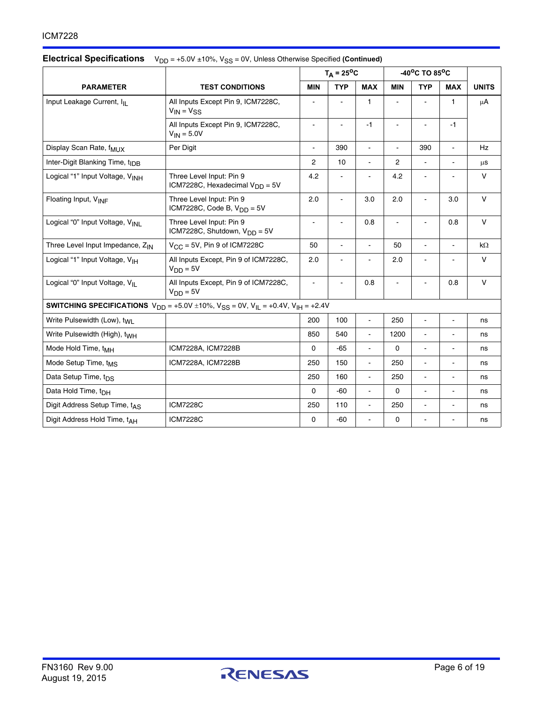|                                             |                                                                                                                 |                | $T_A = 25^{\circ}C$ |                          | $-40^{\circ}$ C TO 85 $^{\circ}$ C |                |                |              |
|---------------------------------------------|-----------------------------------------------------------------------------------------------------------------|----------------|---------------------|--------------------------|------------------------------------|----------------|----------------|--------------|
| <b>PARAMETER</b>                            | <b>TEST CONDITIONS</b>                                                                                          | <b>MIN</b>     | <b>TYP</b>          | <b>MAX</b>               | <b>MIN</b>                         | <b>TYP</b>     | <b>MAX</b>     | <b>UNITS</b> |
| Input Leakage Current, ILL                  | All Inputs Except Pin 9, ICM7228C,<br>$V_{IN} = V_{SS}$                                                         |                |                     | 1                        |                                    |                | 1              | $\mu$ A      |
|                                             | All Inputs Except Pin 9, ICM7228C,<br>$V_{IN} = 5.0V$                                                           | $\overline{a}$ |                     | $-1$                     |                                    |                | $-1$           |              |
| Display Scan Rate, f <sub>MUX</sub>         | Per Digit                                                                                                       | $\sim$         | 390                 | $\blacksquare$           | $\blacksquare$                     | 390            | $\blacksquare$ | Hz           |
| Inter-Digit Blanking Time, t <sub>IDB</sub> |                                                                                                                 | $\overline{2}$ | 10                  | $\mathbf{r}$             | $\overline{2}$                     | $\blacksquare$ |                | $\mu$ s      |
| Logical "1" Input Voltage, VINH             | Three Level Input: Pin 9<br>ICM7228C, Hexadecimal $V_{DD} = 5V$                                                 | 4.2            | $\overline{a}$      | $\overline{a}$           | 4.2                                | ä,             | ä,             | $\vee$       |
| Floating Input, V <sub>INF</sub>            | Three Level Input: Pin 9<br>ICM7228C, Code B, $V_{DD} = 5V$                                                     | 2.0            | ÷,                  | 3.0                      | 2.0                                | ä,             | 3.0            | V            |
| Logical "0" Input Voltage, VINL             | Three Level Input: Pin 9<br>ICM7228C, Shutdown, V <sub>DD</sub> = 5V                                            | $\blacksquare$ |                     | 0.8                      |                                    |                | 0.8            | $\vee$       |
| Three Level Input Impedance, ZIN            | $V_{CC}$ = 5V, Pin 9 of ICM7228C                                                                                | 50             | ÷,                  | $\overline{\phantom{a}}$ | 50                                 | ä,             | $\blacksquare$ | $k\Omega$    |
| Logical "1" Input Voltage, V <sub>IH</sub>  | All Inputs Except, Pin 9 of ICM7228C,<br>$V_{DD} = 5V$                                                          | 2.0            | $\overline{a}$      |                          | 2.0                                | ä,             |                | $\vee$       |
| Logical "0" Input Voltage, VIL              | All Inputs Except, Pin 9 of ICM7228C,<br>$V_{DD} = 5V$                                                          | $\blacksquare$ |                     | 0.8                      | ä,                                 | ä,             | 0.8            | $\vee$       |
|                                             | <b>SWITCHING SPECIFICATIONS</b> $V_{DD} = +5.0V \pm 10\%$ , $V_{SS} = 0V$ , $V_{IL} = +0.4V$ , $V_{IH} = +2.4V$ |                |                     |                          |                                    |                |                |              |
| Write Pulsewidth (Low), t <sub>WL</sub>     |                                                                                                                 | 200            | 100                 | $\overline{a}$           | 250                                | ä,             |                | ns           |
| Write Pulsewidth (High), t <sub>WH</sub>    |                                                                                                                 | 850            | 540                 | $\blacksquare$           | 1200                               | ä,             |                | ns           |
| Mode Hold Time, t <sub>MH</sub>             | ICM7228A, ICM7228B                                                                                              | 0              | $-65$               | $\blacksquare$           | $\Omega$                           | ۰              |                | ns           |
| Mode Setup Time, t <sub>MS</sub>            | ICM7228A, ICM7228B                                                                                              | 250            | 150                 | $\blacksquare$           | 250                                | ä,             |                | ns           |
| Data Setup Time, t <sub>DS</sub>            |                                                                                                                 | 250            | 160                 | $\overline{a}$           | 250                                | $\overline{a}$ |                | ns           |
| Data Hold Time, t <sub>DH</sub>             |                                                                                                                 | 0              | $-60$               | $\overline{a}$           | $\mathbf 0$                        | ÷,             |                | ns           |
| Digit Address Setup Time, tAS               | <b>ICM7228C</b>                                                                                                 | 250            | 110                 | $\blacksquare$           | 250                                | ÷,             |                | ns           |
| Digit Address Hold Time, tAH                | <b>ICM7228C</b>                                                                                                 | 0              | $-60$               | $\blacksquare$           | 0                                  |                |                | ns           |

#### **Electrical Specifications**  $V_{DD} = +5.0V \pm 10\%$ ,  $V_{SS} = 0V$ , Unless Otherwise Specified (Continued)

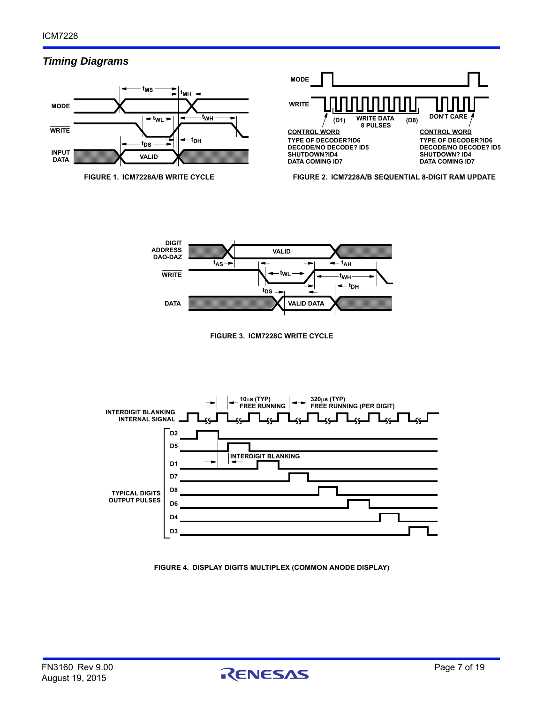# *Timing Diagrams*





**FIGURE 1. ICM7228A/B WRITE CYCLE FIGURE 2. ICM7228A/B SEQUENTIAL 8-DIGIT RAM UPDATE** 







**FIGURE 4. DISPLAY DIGITS MULTIPLEX (COMMON ANODE DISPLAY)**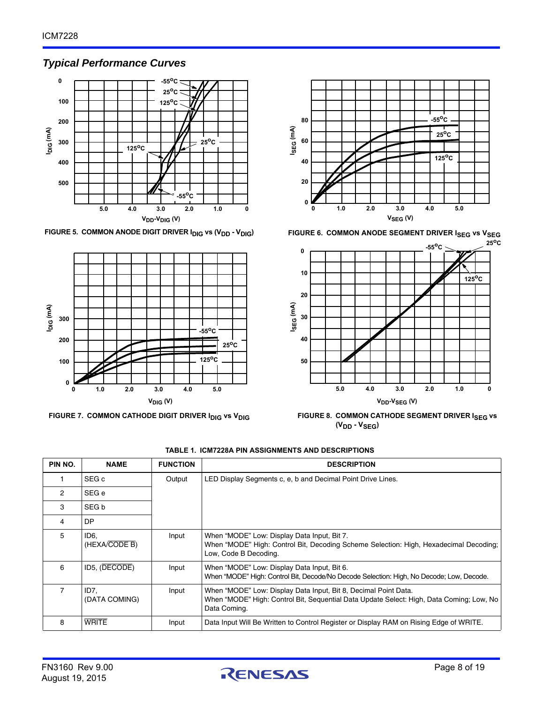# *Typical Performance Curves*







**FIGURE 5. COMMON ANODE DIGIT DRIVER I<sub>DIG</sub> vs (V<sub>DD</sub> - V<sub>DIG</sub>) <b>FIGURE 6. COMMON ANODE SEGMENT DRIVER I<sub>SEG</sub> vs V<sub>SEG</sub>** 



FIGURE 7. COMMON CATHODE DIGIT DRIVER I<sub>DIG</sub> vs V<sub>DIG</sub> FIGURE 8. COMMON CATHODE SEGMENT DRIVER I<sub>SEG</sub> vs **(VDD - VSEG)**

| PIN NO.        | <b>NAME</b>           | <b>FUNCTION</b> | <b>DESCRIPTION</b>                                                                                                                                                          |
|----------------|-----------------------|-----------------|-----------------------------------------------------------------------------------------------------------------------------------------------------------------------------|
|                | SEG c                 | Output          | LED Display Segments c, e, b and Decimal Point Drive Lines.                                                                                                                 |
| $\overline{2}$ | SEG e                 |                 |                                                                                                                                                                             |
| 3              | SEG b                 |                 |                                                                                                                                                                             |
| 4              | DP.                   |                 |                                                                                                                                                                             |
| 5              | ID6.<br>(HEXA/CODE B) | Input           | When "MODE" Low: Display Data Input, Bit 7.<br>When "MODE" High: Control Bit, Decoding Scheme Selection: High, Hexadecimal Decoding;<br>Low, Code B Decoding.               |
| 6              | ID5, (DECODE)         | Input           | When "MODE" Low: Display Data Input, Bit 6.<br>When "MODE" High: Control Bit, Decode/No Decode Selection: High, No Decode; Low, Decode.                                     |
| $\overline{7}$ | ID7.<br>(DATA COMING) | Input           | When "MODE" Low: Display Data Input, Bit 8, Decimal Point Data.<br>When "MODE" High: Control Bit, Seguential Data Update Select: High, Data Coming; Low, No<br>Data Coming. |
| 8              | <b>WRITE</b>          | Input           | Data Input Will Be Written to Control Register or Display RAM on Rising Edge of WRITE.                                                                                      |

**TABLE 1. ICM7228A PIN ASSIGNMENTS AND DESCRIPTIONS** 

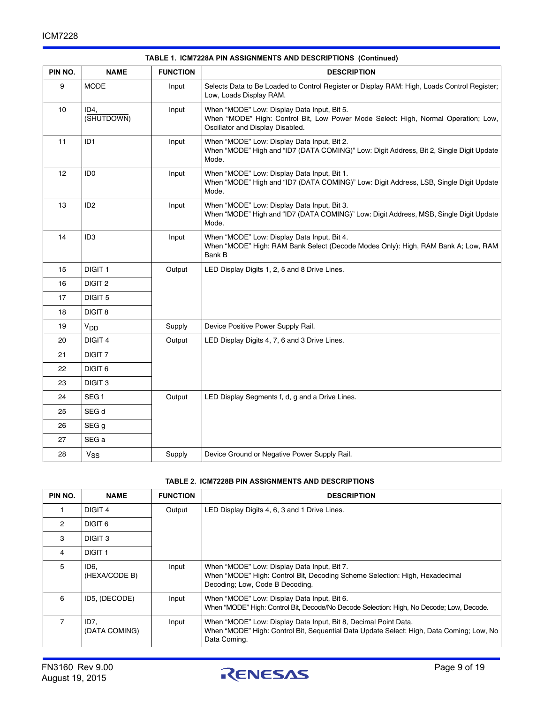| PIN NO. | <b>NAME</b>        | <b>FUNCTION</b> | <b>DESCRIPTION</b>                                                                                                                                                    |  |
|---------|--------------------|-----------------|-----------------------------------------------------------------------------------------------------------------------------------------------------------------------|--|
| 9       | <b>MODE</b>        | Input           | Selects Data to Be Loaded to Control Register or Display RAM: High, Loads Control Register;<br>Low, Loads Display RAM.                                                |  |
| 10      | ID4.<br>(SHUTDOWN) | Input           | When "MODE" Low: Display Data Input, Bit 5.<br>When "MODE" High: Control Bit, Low Power Mode Select: High, Normal Operation; Low,<br>Oscillator and Display Disabled. |  |
| 11      | ID <sub>1</sub>    | Input           | When "MODE" Low: Display Data Input, Bit 2.<br>When "MODE" High and "ID7 (DATA COMING)" Low: Digit Address, Bit 2, Single Digit Update<br>Mode.                       |  |
| 12      | ID <sub>0</sub>    | Input           | When "MODE" Low: Display Data Input, Bit 1.<br>When "MODE" High and "ID7 (DATA COMING)" Low: Digit Address, LSB, Single Digit Update<br>Mode.                         |  |
| 13      | ID <sub>2</sub>    | Input           | When "MODE" Low: Display Data Input, Bit 3.<br>When "MODE" High and "ID7 (DATA COMING)" Low: Digit Address, MSB, Single Digit Update<br>Mode.                         |  |
| 14      | ID <sub>3</sub>    | Input           | When "MODE" Low: Display Data Input, Bit 4.<br>When "MODE" High: RAM Bank Select (Decode Modes Only): High, RAM Bank A; Low, RAM<br>Bank B                            |  |
| 15      | DIGIT <sub>1</sub> | Output          | LED Display Digits 1, 2, 5 and 8 Drive Lines.                                                                                                                         |  |
| 16      | DIGIT <sub>2</sub> |                 |                                                                                                                                                                       |  |
| 17      | DIGIT <sub>5</sub> |                 |                                                                                                                                                                       |  |
| 18      | DIGIT <sub>8</sub> |                 |                                                                                                                                                                       |  |
| 19      | V <sub>DD</sub>    | Supply          | Device Positive Power Supply Rail.                                                                                                                                    |  |
| 20      | DIGIT 4            | Output          | LED Display Digits 4, 7, 6 and 3 Drive Lines.                                                                                                                         |  |
| 21      | DIGIT <sub>7</sub> |                 |                                                                                                                                                                       |  |
| 22      | DIGIT <sub>6</sub> |                 |                                                                                                                                                                       |  |
| 23      | DIGIT <sub>3</sub> |                 |                                                                                                                                                                       |  |
| 24      | SEG f              | Output          | LED Display Segments f, d, g and a Drive Lines.                                                                                                                       |  |
| 25      | SEG d              |                 |                                                                                                                                                                       |  |
| 26      | SEG g              |                 |                                                                                                                                                                       |  |
| 27      | SEG a              |                 |                                                                                                                                                                       |  |
| 28      | $V_{SS}$           | Supply          | Device Ground or Negative Power Supply Rail.                                                                                                                          |  |

#### **TABLE 1. ICM7228A PIN ASSIGNMENTS AND DESCRIPTIONS (Continued)**

#### **TABLE 2. ICM7228B PIN ASSIGNMENTS AND DESCRIPTIONS**

| PIN NO.        | <b>NAME</b>           | <b>FUNCTION</b> | <b>DESCRIPTION</b>                                                                                                                                                          |
|----------------|-----------------------|-----------------|-----------------------------------------------------------------------------------------------------------------------------------------------------------------------------|
|                | DIGIT 4               | Output          | LED Display Digits 4, 6, 3 and 1 Drive Lines.                                                                                                                               |
| $\overline{2}$ | DIGIT 6               |                 |                                                                                                                                                                             |
| 3              | DIGIT <sub>3</sub>    |                 |                                                                                                                                                                             |
| 4              | DIGIT <sub>1</sub>    |                 |                                                                                                                                                                             |
| 5              | ID6.<br>(HEXA/CODE B) | Input           | When "MODE" Low: Display Data Input, Bit 7.<br>When "MODE" High: Control Bit, Decoding Scheme Selection: High, Hexadecimal<br>Decoding; Low, Code B Decoding.               |
| 6              | ID5, (DECODE)         | Input           | When "MODE" Low: Display Data Input, Bit 6.<br>When "MODE" High: Control Bit, Decode/No Decode Selection: High, No Decode; Low, Decode.                                     |
|                | ID7.<br>(DATA COMING) | Input           | When "MODE" Low: Display Data Input, Bit 8, Decimal Point Data.<br>When "MODE" High: Control Bit, Seguential Data Update Select: High, Data Coming; Low, No<br>Data Coming. |

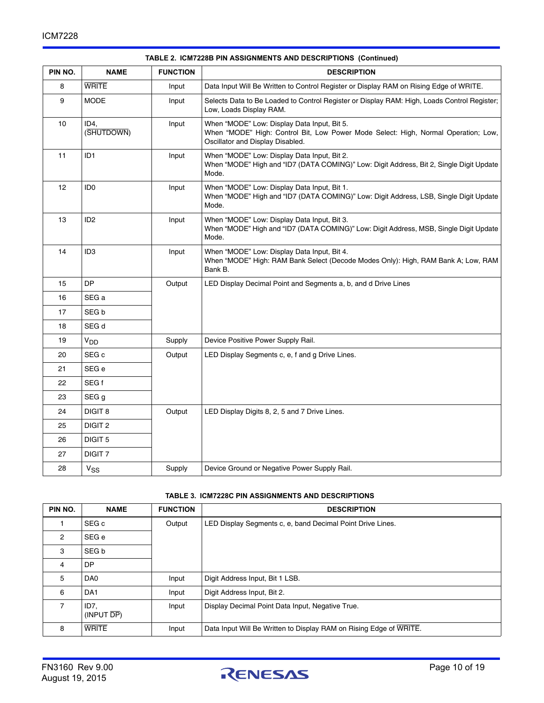| PIN NO. | <b>NAME</b>        | <b>FUNCTION</b> | <b>DESCRIPTION</b>                                                                                                                                                    |  |
|---------|--------------------|-----------------|-----------------------------------------------------------------------------------------------------------------------------------------------------------------------|--|
| 8       | <b>WRITE</b>       | Input           | Data Input Will Be Written to Control Register or Display RAM on Rising Edge of WRITE.                                                                                |  |
| 9       | <b>MODE</b>        | Input           | Selects Data to Be Loaded to Control Register or Display RAM: High, Loads Control Register;<br>Low, Loads Display RAM.                                                |  |
| 10      | ID4.<br>(SHUTDOWN) | Input           | When "MODE" Low: Display Data Input, Bit 5.<br>When "MODE" High: Control Bit, Low Power Mode Select: High, Normal Operation; Low,<br>Oscillator and Display Disabled. |  |
| 11      | ID <sub>1</sub>    | Input           | When "MODE" Low: Display Data Input, Bit 2.<br>When "MODE" High and "ID7 (DATA COMING)" Low: Digit Address, Bit 2, Single Digit Update<br>Mode.                       |  |
| 12      | ID <sub>0</sub>    | Input           | When "MODE" Low: Display Data Input, Bit 1.<br>When "MODE" High and "ID7 (DATA COMING)" Low: Digit Address, LSB, Single Digit Update<br>Mode.                         |  |
| 13      | ID <sub>2</sub>    | Input           | When "MODE" Low: Display Data Input, Bit 3.<br>When "MODE" High and "ID7 (DATA COMING)" Low: Digit Address, MSB, Single Digit Update<br>Mode.                         |  |
| 14      | ID <sub>3</sub>    | Input           | When "MODE" Low: Display Data Input, Bit 4.<br>When "MODE" High: RAM Bank Select (Decode Modes Only): High, RAM Bank A; Low, RAM<br>Bank B.                           |  |
| 15      | <b>DP</b>          | Output          | LED Display Decimal Point and Segments a, b, and d Drive Lines                                                                                                        |  |
| 16      | SEG a              |                 |                                                                                                                                                                       |  |
| 17      | SEG b              |                 |                                                                                                                                                                       |  |
| 18      | SEG d              |                 |                                                                                                                                                                       |  |
| 19      | V <sub>DD</sub>    | Supply          | Device Positive Power Supply Rail.                                                                                                                                    |  |
| 20      | SEG c              | Output          | LED Display Segments c, e, f and g Drive Lines.                                                                                                                       |  |
| 21      | SEG e              |                 |                                                                                                                                                                       |  |
| 22      | SEG f              |                 |                                                                                                                                                                       |  |
| 23      | SEG g              |                 |                                                                                                                                                                       |  |
| 24      | <b>DIGIT 8</b>     | Output          | LED Display Digits 8, 2, 5 and 7 Drive Lines.                                                                                                                         |  |
| 25      | DIGIT <sub>2</sub> |                 |                                                                                                                                                                       |  |
| 26      | DIGIT <sub>5</sub> |                 |                                                                                                                                                                       |  |
| 27      | DIGIT <sub>7</sub> |                 |                                                                                                                                                                       |  |
| 28      | $V_{SS}$           | Supply          | Device Ground or Negative Power Supply Rail.                                                                                                                          |  |

#### **TABLE 2. ICM7228B PIN ASSIGNMENTS AND DESCRIPTIONS (Continued)**

#### **TABLE 3. ICM7228C PIN ASSIGNMENTS AND DESCRIPTIONS**

| PIN NO.        | <b>NAME</b>                    | <b>FUNCTION</b> | <b>DESCRIPTION</b>                                                 |
|----------------|--------------------------------|-----------------|--------------------------------------------------------------------|
|                | SEG c                          | Output          | LED Display Segments c, e, band Decimal Point Drive Lines.         |
| $\overline{2}$ | SEG e                          |                 |                                                                    |
| 3              | SEG b                          |                 |                                                                    |
| 4              | <b>DP</b>                      |                 |                                                                    |
| 5              | DA0                            | Input           | Digit Address Input, Bit 1 LSB.                                    |
| 6              | DA <sub>1</sub>                | Input           | Digit Address Input, Bit 2.                                        |
| $\overline{7}$ | ID7,<br>(INPUT <sub>DP</sub> ) | Input           | Display Decimal Point Data Input, Negative True.                   |
| 8              | <b>WRITE</b>                   | Input           | Data Input Will Be Written to Display RAM on Rising Edge of WRITE. |

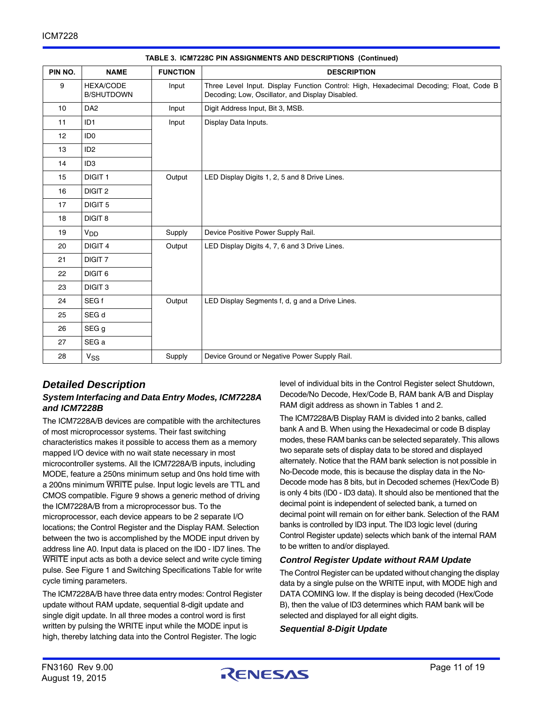| PIN NO. | <b>NAME</b>                           | <b>FUNCTION</b> | <b>DESCRIPTION</b>                                                                                                                         |
|---------|---------------------------------------|-----------------|--------------------------------------------------------------------------------------------------------------------------------------------|
| 9       | <b>HEXA/CODE</b><br><b>B/SHUTDOWN</b> | Input           | Three Level Input. Display Function Control: High, Hexadecimal Decoding; Float, Code B<br>Decoding; Low, Oscillator, and Display Disabled. |
| 10      | DA <sub>2</sub>                       | Input           | Digit Address Input, Bit 3, MSB.                                                                                                           |
| 11      | ID <sub>1</sub>                       | Input           | Display Data Inputs.                                                                                                                       |
| 12      | ID <sub>0</sub>                       |                 |                                                                                                                                            |
| 13      | ID <sub>2</sub>                       |                 |                                                                                                                                            |
| 14      | ID <sub>3</sub>                       |                 |                                                                                                                                            |
| 15      | DIGIT <sub>1</sub>                    | Output          | LED Display Digits 1, 2, 5 and 8 Drive Lines.                                                                                              |
| 16      | DIGIT <sub>2</sub>                    |                 |                                                                                                                                            |
| 17      | DIGIT <sub>5</sub>                    |                 |                                                                                                                                            |
| 18      | DIGIT <sub>8</sub>                    |                 |                                                                                                                                            |
| 19      | V <sub>DD</sub>                       | Supply          | Device Positive Power Supply Rail.                                                                                                         |
| 20      | DIGIT 4                               | Output          | LED Display Digits 4, 7, 6 and 3 Drive Lines.                                                                                              |
| 21      | DIGIT <sub>7</sub>                    |                 |                                                                                                                                            |
| 22      | DIGIT <sub>6</sub>                    |                 |                                                                                                                                            |
| 23      | DIGIT <sub>3</sub>                    |                 |                                                                                                                                            |
| 24      | SEG f                                 | Output          | LED Display Segments f, d, g and a Drive Lines.                                                                                            |
| 25      | SEG d                                 |                 |                                                                                                                                            |
| 26      | SEG g                                 |                 |                                                                                                                                            |
| 27      | SEG a                                 |                 |                                                                                                                                            |
| 28      | $V_{SS}$                              | Supply          | Device Ground or Negative Power Supply Rail.                                                                                               |

**TABLE 3. ICM7228C PIN ASSIGNMENTS AND DESCRIPTIONS (Continued)**

# *Detailed Description*

#### *System Interfacing and Data Entry Modes, ICM7228A and ICM7228B*

The ICM7228A/B devices are compatible with the architectures of most microprocessor systems. Their fast switching characteristics makes it possible to access them as a memory mapped I/O device with no wait state necessary in most microcontroller systems. All the ICM7228A/B inputs, including MODE, feature a 250ns minimum setup and 0ns hold time with a 200ns minimum WRITE pulse. Input logic levels are TTL and CMOS compatible. Figure 9 shows a generic method of driving the ICM7228A/B from a microprocessor bus. To the microprocessor, each device appears to be 2 separate I/O locations; the Control Register and the Display RAM. Selection between the two is accomplished by the MODE input driven by address line A0. Input data is placed on the lD0 - lD7 lines. The WRITE input acts as both a device select and write cycle timing pulse. See Figure 1 and Switching Specifications Table for write cycle timing parameters.

The ICM7228A/B have three data entry modes: Control Register update without RAM update, sequential 8-digit update and single digit update. In all three modes a control word is first written by pulsing the WRITE input while the MODE input is high, thereby latching data into the Control Register. The logic

level of individual bits in the Control Register select Shutdown, Decode/No Decode, Hex/Code B, RAM bank A/B and Display RAM digit address as shown in Tables 1 and 2.

The ICM7228A/B Display RAM is divided into 2 banks, called bank A and B. When using the Hexadecimal or code B display modes, these RAM banks can be selected separately. This allows two separate sets of display data to be stored and displayed alternately. Notice that the RAM bank selection is not possible in No-Decode mode, this is because the display data in the No-Decode mode has 8 bits, but in Decoded schemes (Hex/Code B) is only 4 bits (lD0 - lD3 data). It should also be mentioned that the decimal point is independent of selected bank, a turned on decimal point will remain on for either bank. Selection of the RAM banks is controlled by lD3 input. The lD3 logic level (during Control Register update) selects which bank of the internal RAM to be written to and/or displayed.

#### *Control Register Update without RAM Update*

The Control Register can be updated without changing the display data by a single pulse on the WRITE input, with MODE high and DATA COMING low. If the display is being decoded (Hex/Code B), then the value of lD3 determines which RAM bank will be selected and displayed for all eight digits.

*Sequential 8-Digit Update*

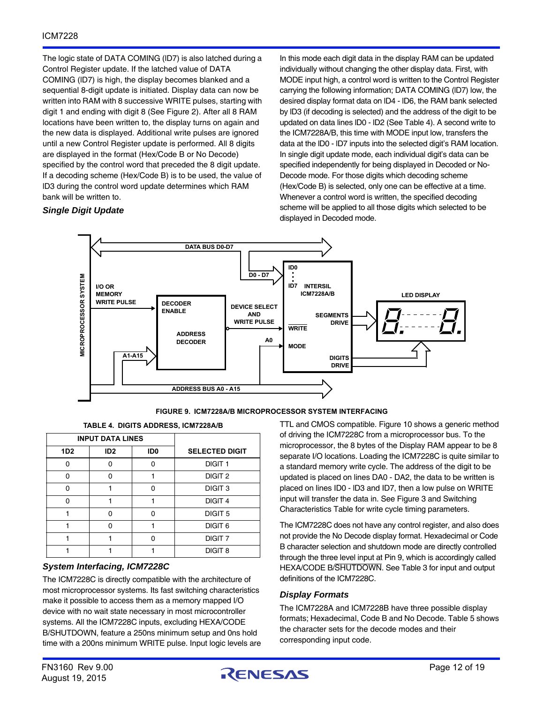The logic state of DATA COMING (lD7) is also latched during a Control Register update. If the latched value of DATA COMING (lD7) is high, the display becomes blanked and a sequential 8-digit update is initiated. Display data can now be written into RAM with 8 successive WRITE pulses, starting with digit 1 and ending with digit 8 (See Figure 2). After all 8 RAM locations have been written to, the display turns on again and the new data is displayed. Additional write pulses are ignored until a new Control Register update is performed. All 8 digits are displayed in the format (Hex/Code B or No Decode) specified by the control word that preceded the 8 digit update. If a decoding scheme (Hex/Code B) is to be used, the value of lD3 during the control word update determines which RAM bank will be written to.

#### *Single Digit Update*

In this mode each digit data in the display RAM can be updated individually without changing the other display data. First, with MODE input high, a control word is written to the Control Register carrying the following information; DATA COMING (lD7) low, the desired display format data on lD4 - lD6, the RAM bank selected by lD3 (if decoding is selected) and the address of the digit to be updated on data lines lD0 - lD2 (See Table 4). A second write to the ICM7228A/B, this time with MODE input low, transfers the data at the lD0 - lD7 inputs into the selected digit's RAM location. In single digit update mode, each individual digit's data can be specified independently for being displayed in Decoded or No-Decode mode. For those digits which decoding scheme (Hex/Code B) is selected, only one can be effective at a time. Whenever a control word is written, the specified decoding scheme will be applied to all those digits which selected to be displayed in Decoded mode.



**FIGURE 9. ICM7228A/B MICROPROCESSOR SYSTEM INTERFACING**

**TABLE 4. DIGITS ADDRESS, ICM7228A/B**

|                 | <b>INPUT DATA LINES</b> |                 |                       |
|-----------------|-------------------------|-----------------|-----------------------|
| 1D <sub>2</sub> | ID <sub>2</sub>         | ID <sub>0</sub> | <b>SELECTED DIGIT</b> |
| n               |                         |                 | <b>DIGIT 1</b>        |
| n               | n                       |                 | DIGIT <sub>2</sub>    |
| n               |                         | n               | DIGIT <sub>3</sub>    |
| n               |                         |                 | DIGIT <sub>4</sub>    |
|                 | ∩                       |                 | DIGIT <sub>5</sub>    |
|                 | n                       |                 | DIGIT <sub>6</sub>    |
|                 |                         |                 | DIGIT <sub>7</sub>    |
|                 |                         |                 | DIGIT <sub>8</sub>    |

#### *System Interfacing, ICM7228C*

The ICM7228C is directly compatible with the architecture of most microprocessor systems. Its fast switching characteristics make it possible to access them as a memory mapped I/O device with no wait state necessary in most microcontroller systems. All the ICM7228C inputs, excluding HEXA/CODE B/SHUTDOWN, feature a 250ns minimum setup and 0ns hold time with a 200ns minimum WRITE pulse. Input logic levels are TTL and CMOS compatible. Figure 10 shows a generic method of driving the ICM7228C from a microprocessor bus. To the microprocessor, the 8 bytes of the Display RAM appear to be 8 separate I/O locations. Loading the ICM7228C is quite similar to a standard memory write cycle. The address of the digit to be updated is placed on lines DA0 - DA2, the data to be written is placed on lines ID0 - lD3 and ID7, then a low pulse on WRITE input will transfer the data in. See Figure 3 and Switching Characteristics Table for write cycle timing parameters.

The ICM7228C does not have any control register, and also does not provide the No Decode display format. Hexadecimal or Code B character selection and shutdown mode are directly controlled through the three level input at Pin 9, which is accordingly called HEXA/CODE B/SHUTDOWN. See Table 3 for input and output definitions of the ICM7228C.

#### *Display Formats*

The ICM7228A and ICM7228B have three possible display formats; Hexadecimal, Code B and No Decode. Table 5 shows the character sets for the decode modes and their corresponding input code.

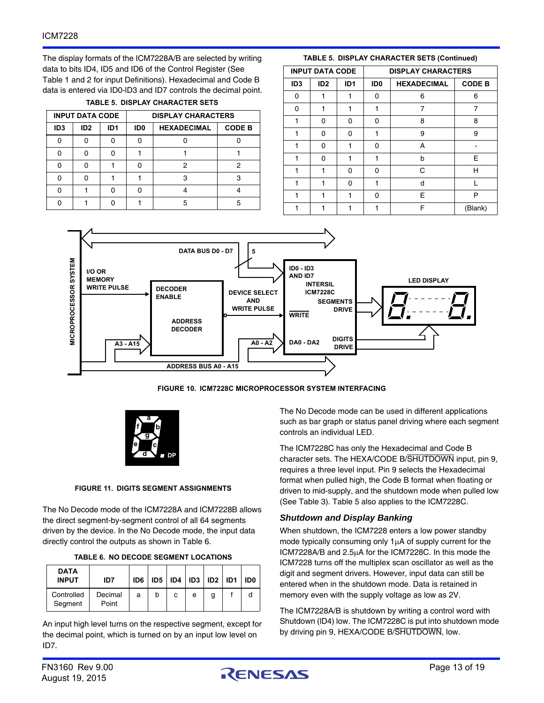The display formats of the ICM7228A/B are selected by writing data to bits ID4, ID5 and ID6 of the Control Register (See Table 1 and 2 for input Definitions). Hexadecimal and Code B data is entered via ID0-lD3 and ID7 controls the decimal point.

**TABLE 5. DISPLAY CHARACTER SETS**

| <b>INPUT DATA CODE</b> |                 |                 | <b>DISPLAY CHARACTERS</b>             |   |               |  |
|------------------------|-----------------|-----------------|---------------------------------------|---|---------------|--|
| ID <sub>3</sub>        | ID <sub>2</sub> | ID <sub>1</sub> | ID <sub>0</sub><br><b>HEXADECIMAL</b> |   | <b>CODE B</b> |  |
|                        | n               |                 |                                       |   |               |  |
|                        |                 |                 |                                       |   |               |  |
|                        |                 |                 |                                       |   |               |  |
|                        |                 |                 |                                       | з |               |  |
|                        |                 |                 |                                       |   |               |  |
|                        |                 |                 |                                       |   |               |  |

#### **TABLE 5. DISPLAY CHARACTER SETS (Continued)**

|                 | <b>INPUT DATA CODE</b> |                 | <b>DISPLAY CHARACTERS</b> |                    |               |  |  |  |
|-----------------|------------------------|-----------------|---------------------------|--------------------|---------------|--|--|--|
| ID <sub>3</sub> | ID <sub>2</sub>        | ID <sub>1</sub> | ID <sub>0</sub>           | <b>HEXADECIMAL</b> | <b>CODE B</b> |  |  |  |
| 0               |                        |                 | 0                         | 6                  | 6             |  |  |  |
| O               |                        |                 |                           | 7                  | 7             |  |  |  |
| 1               | O                      | 0               | 0                         | 8                  | 8             |  |  |  |
|                 | ŋ                      | ŋ               |                           | 9                  | 9             |  |  |  |
|                 | ŋ                      |                 | 0                         | А                  |               |  |  |  |
|                 | O                      |                 |                           | b                  | Е             |  |  |  |
|                 |                        | 0               | 0                         | C                  | н             |  |  |  |
|                 |                        | ŋ               |                           | d                  |               |  |  |  |
|                 |                        |                 | O                         | F.                 | P             |  |  |  |
|                 |                        |                 |                           | F                  | (Blank)       |  |  |  |



**FIGURE 10. ICM7228C MICROPROCESSOR SYSTEM INTERFACING**



**FIGURE 11. DIGITS SEGMENT ASSIGNMENTS**

The No Decode mode of the ICM7228A and ICM7228B allows the direct segment-by-segment control of all 64 segments driven by the device. In the No Decode mode, the input data directly control the outputs as shown in Table 6.

| TABLE 6.  NO DECODE SEGMENT LOCATIONS |  |
|---------------------------------------|--|
|                                       |  |

| <b>DATA</b><br><b>INPUT</b> | ID7              | ID <sub>6</sub> | ID <sub>5</sub> | ID <sub>4</sub> | ID <sub>3</sub> | ID <sub>2</sub> | ID <sub>1</sub> | ID0 |
|-----------------------------|------------------|-----------------|-----------------|-----------------|-----------------|-----------------|-----------------|-----|
| Controlled<br>Segment       | Decimal<br>Point | а               | b               | с               | е               | g               |                 |     |

An input high level turns on the respective segment, except for the decimal point, which is turned on by an input low level on ID7.

The No Decode mode can be used in different applications such as bar graph or status panel driving where each segment controls an individual LED.

The ICM7228C has only the Hexadecimal and Code B character sets. The HEXA/CODE B/SHUTDOWN input, pin 9, requires a three level input. Pin 9 selects the Hexadecimal format when pulled high, the Code B format when floating or driven to mid-supply, and the shutdown mode when pulled low (See Table 3). Table 5 also applies to the ICM7228C.

#### *Shutdown and Display Banking*

When shutdown, the ICM7228 enters a low power standby mode typically consuming only  $1\mu A$  of supply current for the  $ICM7228A/B$  and  $2.5\mu A$  for the  $ICM7228C$ . In this mode the ICM7228 turns off the multiplex scan oscillator as well as the digit and segment drivers. However, input data can still be entered when in the shutdown mode. Data is retained in memory even with the supply voltage as low as 2V.

The ICM7228A/B is shutdown by writing a control word with Shutdown (lD4) low. The ICM7228C is put into shutdown mode by driving pin 9, HEXA/CODE B/SHUTDOWN, low.

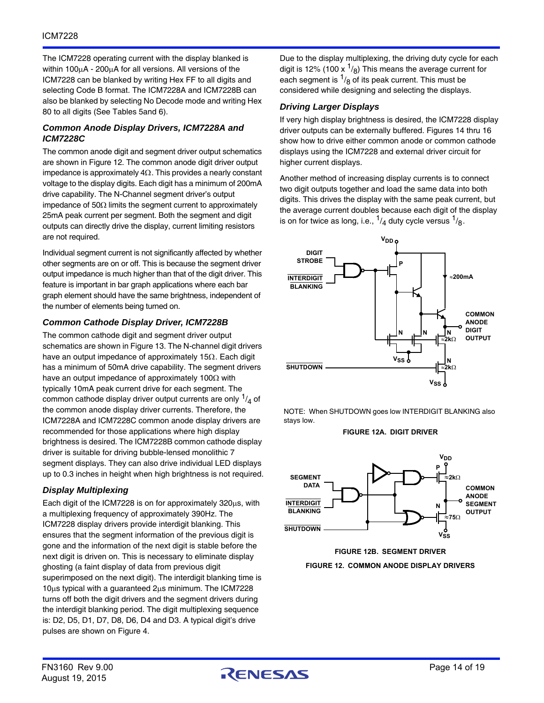The ICM7228 operating current with the display blanked is within 100 $\mu$ A - 200 $\mu$ A for all versions. All versions of the ICM7228 can be blanked by writing Hex FF to all digits and selecting Code B format. The ICM7228A and ICM7228B can also be blanked by selecting No Decode mode and writing Hex 80 to all digits (See Tables 5and 6).

#### *Common Anode Display Drivers, ICM7228A and ICM7228C*

The common anode digit and segment driver output schematics are shown in Figure 12. The common anode digit driver output impedance is approximately  $4\Omega$ . This provides a nearly constant voltage to the display digits. Each digit has a minimum of 200mA drive capability. The N-Channel segment driver's output impedance of 50 $\Omega$  limits the segment current to approximately 25mA peak current per segment. Both the segment and digit outputs can directly drive the display, current limiting resistors are not required.

Individual segment current is not significantly affected by whether other segments are on or off. This is because the segment driver output impedance is much higher than that of the digit driver. This feature is important in bar graph applications where each bar graph element should have the same brightness, independent of the number of elements being turned on.

#### *Common Cathode Display Driver, ICM7228B*

The common cathode digit and segment driver output schematics are shown in Figure 13. The N-channel digit drivers have an output impedance of approximately 15 $\Omega$ . Each digit has a minimum of 50mA drive capability. The segment drivers have an output impedance of approximately 100 $\Omega$  with typically 10mA peak current drive for each segment. The common cathode display driver output currents are only  $\frac{1}{4}$  of the common anode display driver currents. Therefore, the ICM7228A and ICM7228C common anode display drivers are recommended for those applications where high display brightness is desired. The ICM7228B common cathode display driver is suitable for driving bubble-lensed monolithic 7 segment displays. They can also drive individual LED displays up to 0.3 inches in height when high brightness is not required.

#### *Display Multiplexing*

Each digit of the ICM7228 is on for approximately  $320\mu s$ , with a multiplexing frequency of approximately 390Hz. The ICM7228 display drivers provide interdigit blanking. This ensures that the segment information of the previous digit is gone and the information of the next digit is stable before the next digit is driven on. This is necessary to eliminate display ghosting (a faint display of data from previous digit superimposed on the next digit). The interdigit blanking time is  $10\mu s$  typical with a guaranteed  $2\mu s$  minimum. The ICM7228 turns off both the digit drivers and the segment drivers during the interdigit blanking period. The digit multiplexing sequence is: D2, D5, D1, D7, D8, D6, D4 and D3. A typical digit's drive pulses are shown on Figure 4.

Due to the display multiplexing, the driving duty cycle for each digit is 12% (100 x  $\frac{1}{8}$ ) This means the average current for each segment is  $\frac{1}{8}$  of its peak current. This must be considered while designing and selecting the displays.

#### *Driving Larger Displays*

If very high display brightness is desired, the ICM7228 display driver outputs can be externally buffered. Figures 14 thru 16 show how to drive either common anode or common cathode displays using the ICM7228 and external driver circuit for higher current displays.

Another method of increasing display currents is to connect two digit outputs together and load the same data into both digits. This drives the display with the same peak current, but the average current doubles because each digit of the display is on for twice as long, i.e.,  $\frac{1}{4}$  duty cycle versus  $\frac{1}{8}$ .



NOTE: When SHUTDOWN goes low INTERDIGIT BLANKING also stays low.

**FIGURE 12A. DIGIT DRIVER**





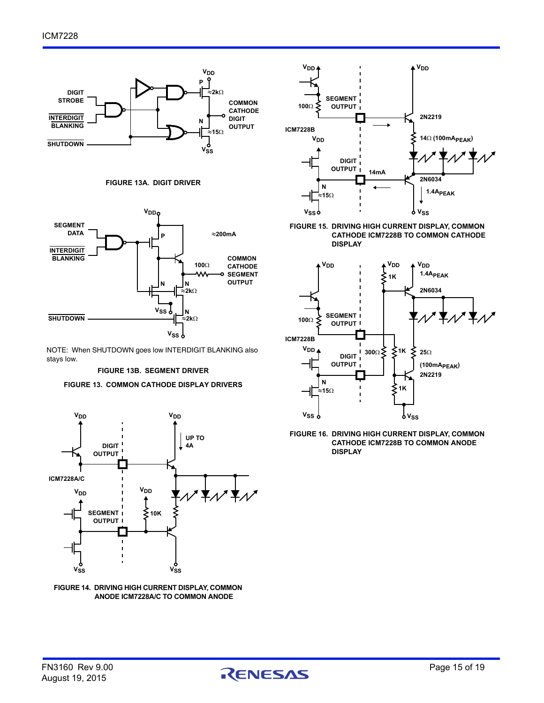





NOTE: When SHUTDOWN goes low INTERDIGIT BLANKING also stays low.

#### **FIGURE 13B. SEGMENT DRIVER**

#### **FIGURE 13. COMMON CATHODE DISPLAY DRIVERS**



**FIGURE 14. DRIVING HIGH CURRENT DISPLAY, COMMON ANODE ICM7228A/C TO COMMON ANODE** 



**FIGURE 15. DRIVING HIGH CURRENT DISPLAY, COMMON CATHODE ICM7228B TO COMMON CATHODE DISPLAY**



**FIGURE 16. DRIVING HIGH CURRENT DISPLAY, COMMON CATHODE ICM7228B TO COMMON ANODE DISPLAY**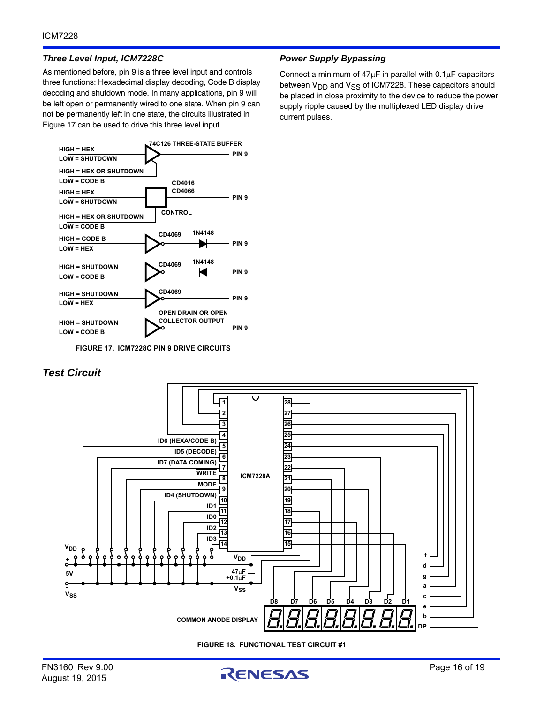#### *Three Level Input, ICM7228C*

As mentioned before, pin 9 is a three level input and controls three functions: Hexadecimal display decoding, Code B display decoding and shutdown mode. In many applications, pin 9 will be left open or permanently wired to one state. When pin 9 can not be permanently left in one state, the circuits illustrated in Figure 17 can be used to drive this three level input.



**FIGURE 17. ICM7228C PIN 9 DRIVE CIRCUITS**

#### *Power Supply Bypassing*

Connect a minimum of  $47\mu$ F in parallel with  $0.1\mu$ F capacitors between V<sub>DD</sub> and V<sub>SS</sub> of ICM7228. These capacitors should be placed in close proximity to the device to reduce the power supply ripple caused by the multiplexed LED display drive current pulses.

### *Test Circuit*



**FIGURE 18. FUNCTIONAL TEST CIRCUIT #1**

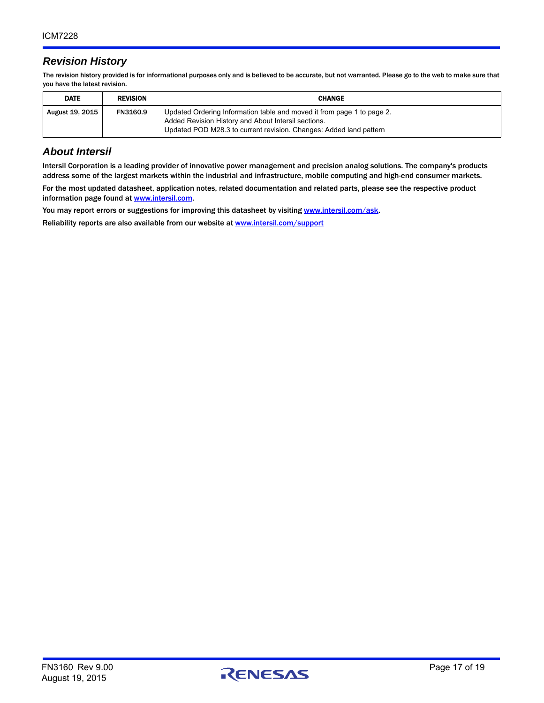# *Revision History*

The revision history provided is for informational purposes only and is believed to be accurate, but not warranted. Please go to the web to make sure that you have the latest revision.

| <b>DATE</b>     | <b>REVISION</b> | <b>CHANGE</b>                                                                                                                                                                                       |
|-----------------|-----------------|-----------------------------------------------------------------------------------------------------------------------------------------------------------------------------------------------------|
| August 19, 2015 | FN3160.9        | Updated Ordering Information table and moved it from page 1 to page 2.<br>Added Revision History and About Intersil sections.<br>Updated POD M28.3 to current revision. Changes: Added land pattern |

# *About Intersil*

Intersil Corporation is a leading provider of innovative power management and precision analog solutions. The company's products address some of the largest markets within the industrial and infrastructure, mobile computing and high-end consumer markets.

For the most updated datasheet, application notes, related documentation and related parts, please see the respective product information page found at [www.intersil.com.](www.intersil.com)

You may report errors or suggestions for improving this datasheet by visiting [www.intersil.com/ask](http://www.intersil.com/en/support.html?OrganizationID=784358&p=createnewticket&p_href=http%3A%2F%2Fwww.intersil.com%2Fen%2Fsupport.html).

Reliability reports are also available from our website at [www.intersil.com/support](http://www.intersil.com/en/support/qualandreliability.html#reliability)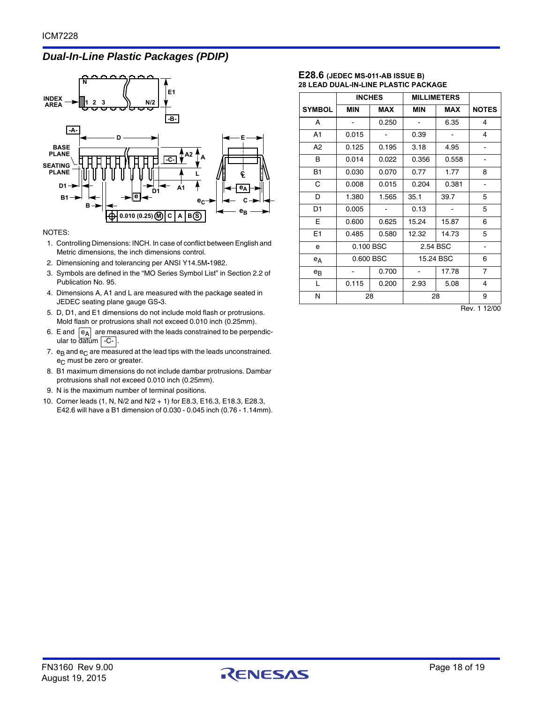# *Dual-In-Line Plastic Packages (PDIP)*



#### NOTES:

- 1. Controlling Dimensions: INCH. In case of conflict between English and Metric dimensions, the inch dimensions control.
- 2. Dimensioning and tolerancing per ANSI Y14.5M**-**1982.
- 3. Symbols are defined in the "MO Series Symbol List" in Section 2.2 of Publication No. 95.
- 4. Dimensions A, A1 and L are measured with the package seated in JEDEC seating plane gauge GS**-**3.
- 5. D, D1, and E1 dimensions do not include mold flash or protrusions. Mold flash or protrusions shall not exceed 0.010 inch (0.25mm).
- 6. E and  $\left| \begin{smallmatrix} e_A \end{smallmatrix} \right|$  are measured with the leads constrained to be perpendicular to datum | C- |.
- 7.  $e_B$  and  $e_C$  are measured at the lead tips with the leads unconstrained.  $e<sub>C</sub>$  must be zero or greater.
- 8. B1 maximum dimensions do not include dambar protrusions. Dambar protrusions shall not exceed 0.010 inch (0.25mm).
- 9. N is the maximum number of terminal positions.
- 10. Corner leads (1, N, N/2 and N/2 + 1) for E8.3, E16.3, E18.3, E28.3, E42.6 will have a B1 dimension of 0.030 - 0.045 inch (0.76 - 1.14mm).

#### **E28.6 (JEDEC MS-011-AB ISSUE B) 28 LEAD DUAL-IN-LINE PLASTIC PACKAGE**

|                |                              | <b>INCHES</b> | <b>MILLIMETERS</b> |            |                |
|----------------|------------------------------|---------------|--------------------|------------|----------------|
| <b>SYMBOL</b>  | <b>MIN</b>                   | <b>MAX</b>    | <b>MIN</b>         | <b>MAX</b> | <b>NOTES</b>   |
| A              |                              | 0.250         |                    | 6.35       | 4              |
| A1             | 0.015                        |               | 0.39               |            | 4              |
| A <sub>2</sub> | 0.125                        | 0.195         | 3.18               | 4.95       |                |
| B              | 0.014                        | 0.022         | 0.356              | 0.558      |                |
| <b>B1</b>      | 0.030                        | 0.070         | 0.77               | 1.77       | 8              |
| C              | 0.008                        | 0.015         | 0.204              | 0.381      |                |
| D              | 1.380                        | 1.565         | 35.1               | 39.7       | 5              |
| D <sub>1</sub> | 0.005                        |               | 0.13               |            | 5              |
| Е              | 0.600                        | 0.625         | 15.24              | 15.87      | 6              |
| E <sub>1</sub> | 0.485                        | 0.580         | 12.32              | 14.73      | 5              |
| e              | 0.100 BSC                    |               | 2.54 BSC           |            |                |
| $e_A$          | 0.600 BSC                    |               | 15.24 BSC          |            | 6              |
| $e_{B}$        | $\qquad \qquad \blacksquare$ | 0.700         |                    | 17.78      | $\overline{7}$ |
| L              | 0.115                        | 0.200         | 2.93               | 5.08       | 4              |
| N              | 28                           |               | 28                 |            | 9              |

Rev. 1 12/00